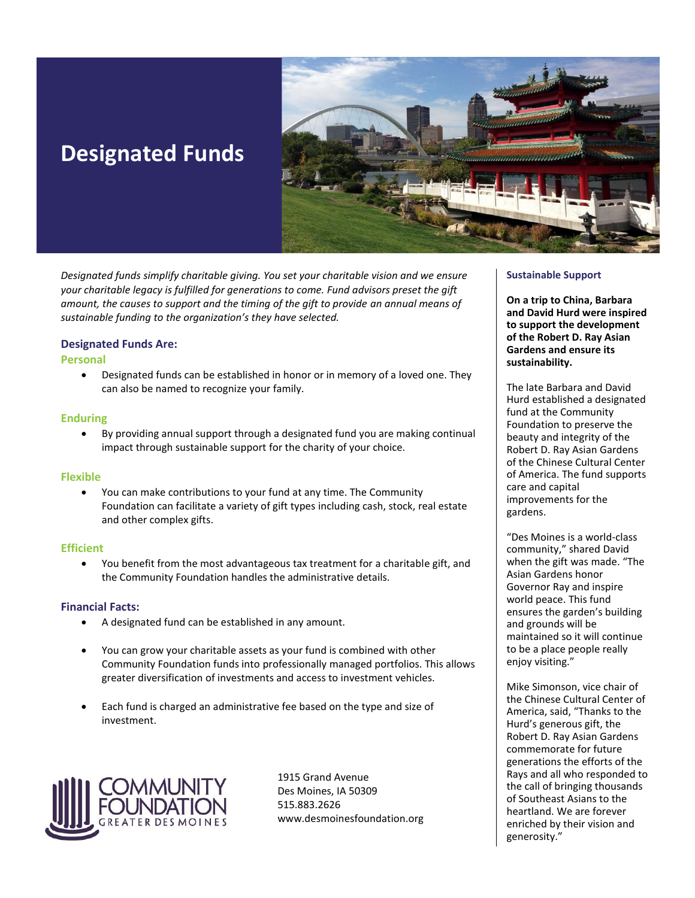# **Designated Funds**



*Designated funds simplify charitable giving. You set your charitable vision and we ensure your charitable legacy is fulfilled for generations to come. Fund advisors preset the gift amount, the causes to support and the timing of the gift to provide an annual means of sustainable funding to the organization's they have selected.*

#### **Designated Funds Are:**

#### **Personal**

• Designated funds can be established in honor or in memory of a loved one. They can also be named to recognize your family.

#### **Enduring**

• By providing annual support through a designated fund you are making continual impact through sustainable support for the charity of your choice.

#### **Flexible**

• You can make contributions to your fund at any time. The Community Foundation can facilitate a variety of gift types including cash, stock, real estate and other complex gifts.

#### **Efficient**

• You benefit from the most advantageous tax treatment for a charitable gift, and the Community Foundation handles the administrative details.

#### **Financial Facts:**

- A designated fund can be established in any amount.
- You can grow your charitable assets as your fund is combined with other Community Foundation funds into professionally managed portfolios. This allows greater diversification of investments and access to investment vehicles.
- Each fund is charged an administrative fee based on the type and size of investment.



1915 Grand Avenue Des Moines, IA 50309 515.883.2626 www.desmoinesfoundation.org

#### **Sustainable Support**

**On a trip to China, Barbara and David Hurd were inspired to support the development of the Robert D. Ray Asian Gardens and ensure its sustainability.** 

The late Barbara and David Hurd established a designated fund at the Community Foundation to preserve the beauty and integrity of the Robert D. Ray Asian Gardens of the Chinese Cultural Center of America. The fund supports care and capital improvements for the gardens.

"Des Moines is a world-class community," shared David when the gift was made. "The Asian Gardens honor Governor Ray and inspire world peace. This fund ensures the garden's building and grounds will be maintained so it will continue to be a place people really enjoy visiting."

Mike Simonson, vice chair of the Chinese Cultural Center of America, said, "Thanks to the Hurd's generous gift, the Robert D. Ray Asian Gardens commemorate for future generations the efforts of the Rays and all who responded to the call of bringing thousands of Southeast Asians to the heartland. We are forever enriched by their vision and generosity."